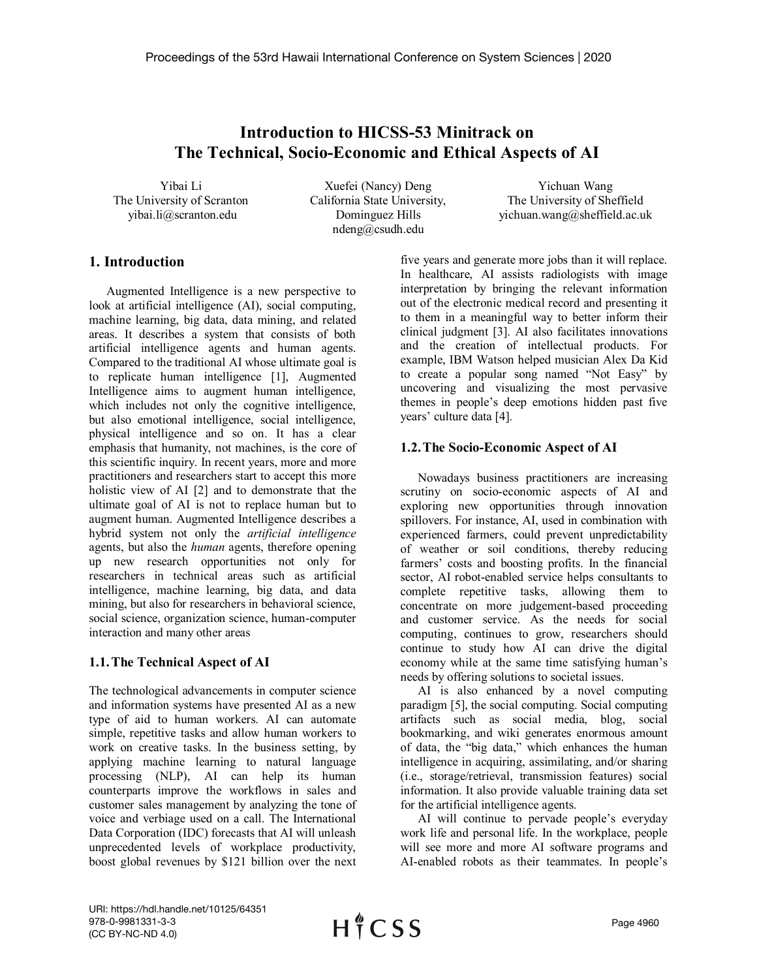# **Introduction to HICSS-53 Minitrack on The Technical, Socio-Economic and Ethical Aspects of AI**

Yibai Li The University of Scranton yibai.li@scranton.edu

Xuefei (Nancy) Deng California State University, Dominguez Hills ndeng@csudh.edu

Yichuan Wang The University of Sheffield yichuan.wang@sheffield.ac.uk

# **1. Introduction**

Augmented Intelligence is a new perspective to look at artificial intelligence (AI), social computing, machine learning, big data, data mining, and related areas. It describes a system that consists of both artificial intelligence agents and human agents. Compared to the traditional AI whose ultimate goal is to replicate human intelligence [1], Augmented Intelligence aims to augment human intelligence, which includes not only the cognitive intelligence, but also emotional intelligence, social intelligence, physical intelligence and so on. It has a clear emphasis that humanity, not machines, is the core of this scientific inquiry. In recent years, more and more practitioners and researchers start to accept this more holistic view of AI [2] and to demonstrate that the ultimate goal of AI is not to replace human but to augment human. Augmented Intelligence describes a hybrid system not only the *artificial intelligence* agents, but also the *human* agents, therefore opening up new research opportunities not only for researchers in technical areas such as artificial intelligence, machine learning, big data, and data mining, but also for researchers in behavioral science, social science, organization science, human-computer interaction and many other areas

# **1.1.The Technical Aspect of AI**

The technological advancements in computer science and information systems have presented AI as a new type of aid to human workers. AI can automate simple, repetitive tasks and allow human workers to work on creative tasks. In the business setting, by applying machine learning to natural language processing (NLP), AI can help its human counterparts improve the workflows in sales and customer sales management by analyzing the tone of voice and verbiage used on a call. The International Data Corporation (IDC) forecasts that AI will unleash unprecedented levels of workplace productivity, boost global revenues by \$121 billion over the next

five years and generate more jobs than it will replace. In healthcare, AI assists radiologists with image interpretation by bringing the relevant information out of the electronic medical record and presenting it to them in a meaningful way to better inform their clinical judgment [3]. AI also facilitates innovations and the creation of intellectual products. For example, IBM Watson helped musician Alex Da Kid to create a popular song named "Not Easy" by uncovering and visualizing the most pervasive themes in people's deep emotions hidden past five years' culture data [4].

### **1.2.The Socio-Economic Aspect of AI**

Nowadays business practitioners are increasing scrutiny on socio-economic aspects of AI and exploring new opportunities through innovation spillovers. For instance, AI, used in combination with experienced farmers, could prevent unpredictability of weather or soil conditions, thereby reducing farmers' costs and boosting profits. In the financial sector, AI robot-enabled service helps consultants to complete repetitive tasks, allowing them to concentrate on more judgement-based proceeding and customer service. As the needs for social computing, continues to grow, researchers should continue to study how AI can drive the digital economy while at the same time satisfying human's needs by offering solutions to societal issues.

AI is also enhanced by a novel computing paradigm [5], the social computing. Social computing artifacts such as social media, blog, social bookmarking, and wiki generates enormous amount of data, the "big data," which enhances the human intelligence in acquiring, assimilating, and/or sharing (i.e., storage/retrieval, transmission features) social information. It also provide valuable training data set for the artificial intelligence agents.

AI will continue to pervade people's everyday work life and personal life. In the workplace, people will see more and more AI software programs and AI-enabled robots as their teammates. In people's

URI: https://hdl.handle.net/10125/64351 978-0-9981331-3-3 (CC BY-NC-ND 4.0)